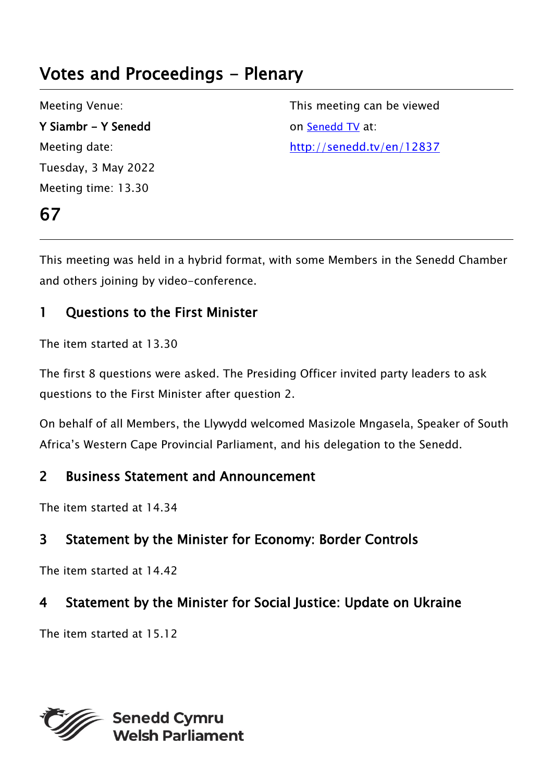# Votes and Proceedings - Plenary

Meeting Venue: Y Siambr - Y Senedd Meeting date: Tuesday, 3 May 2022 Meeting time: 13.30

67

This meeting can be viewed on [Senedd TV](http://senedd.tv/) at: http://senedd.tv/en/12837

This meeting was held in a hybrid format, with some Members in the Senedd Chamber and others joining by video-conference.

# 1 Questions to the First Minister

The item started at 13.30

The first 8 questions were asked. The Presiding Officer invited party leaders to ask questions to the First Minister after question 2.

On behalf of all Members, the Llywydd welcomed Masizole Mngasela, Speaker of South Africa's Western Cape Provincial Parliament, and his delegation to the Senedd.

## 2 Business Statement and Announcement

The item started at 14.34

# 3 Statement by the Minister for Economy: Border Controls

The item started at 14.42

# 4 Statement by the Minister for Social Justice: Update on Ukraine

The item started at 15.12

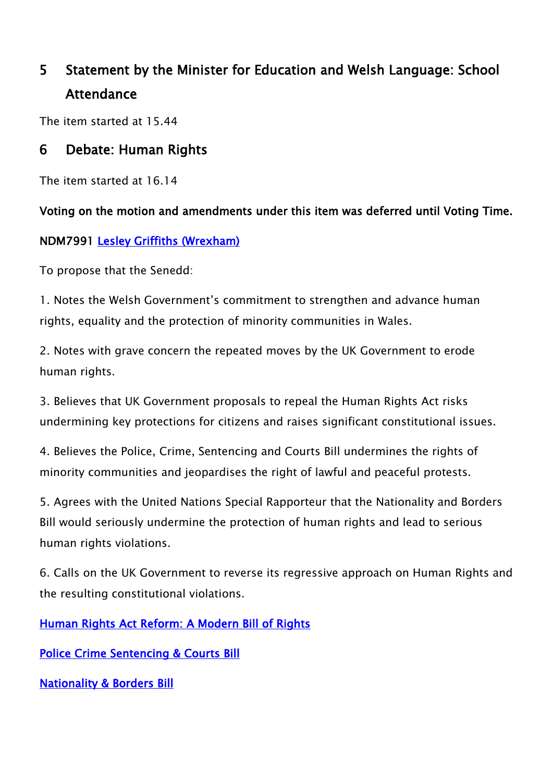# 5 Statement by the Minister for Education and Welsh Language: School **Attendance**

The item started at 15.44

### 6 Debate: Human Rights

The item started at 16.14

#### Voting on the motion and amendments under this item was deferred until Voting Time.

#### NDM7991 [Lesley Griffiths \(Wrexham\)](https://business.senedd.wales/mgUserInfo.aspx?UID=154)

To propose that the Senedd:

1. Notes the Welsh Government's commitment to strengthen and advance human rights, equality and the protection of minority communities in Wales.

2. Notes with grave concern the repeated moves by the UK Government to erode human rights.

3. Believes that UK Government proposals to repeal the Human Rights Act risks undermining key protections for citizens and raises significant constitutional issues.

4. Believes the Police, Crime, Sentencing and Courts Bill undermines the rights of minority communities and jeopardises the right of lawful and peaceful protests.

5. Agrees with the United Nations Special Rapporteur that the Nationality and Borders Bill would seriously undermine the protection of human rights and lead to serious human rights violations.

6. Calls on the UK Government to reverse its regressive approach on Human Rights and the resulting constitutional violations.

[Human Rights Act Reform: A Modern Bill of Rights](https://www.gov.uk/government/consultations/human-rights-act-reform-a-modern-bill-of-rights)

[Police Crime Sentencing & Courts Bill](https://eur01.safelinks.protection.outlook.com/?url=https%3A%2F%2Fbills.parliament.uk%2Fbills%2F2839&data=05%7C01%7CHelen.Carey%40gov.wales%7C6d793e3daaae4e6b1e8708da269897e2%7Ca2cc36c592804ae78887d06dab89216b%7C0%7C0%7C637864734060743074%7CUnknown%7CTWFpbGZsb3d8eyJWIjoiMC4wLjAwMDAiLCJQIjoiV2luMzIiLCJBTiI6Ik1haWwiLCJXVCI6Mn0%3D%7C3000%7C%7C%7C&sdata=knPCV3NsBsGkITGNFkrVcYnFP7HuDYYGITATC7PWov4%3D&reserved=0)

**[Nationality & Borders Bill](https://eur01.safelinks.protection.outlook.com/?url=https%3A%2F%2Fbills.parliament.uk%2Fbills%2F3023&data=05%7C01%7CHelen.Carey%40gov.wales%7C6d793e3daaae4e6b1e8708da269897e2%7Ca2cc36c592804ae78887d06dab89216b%7C0%7C0%7C637864734060743074%7CUnknown%7CTWFpbGZsb3d8eyJWIjoiMC4wLjAwMDAiLCJQIjoiV2luMzIiLCJBTiI6Ik1haWwiLCJXVCI6Mn0%3D%7C3000%7C%7C%7C&sdata=2cSk4EzSpdR%2Fje5UYA46j1SmL1Vb%2BZ1ufLmQuGuQpMc%3D&reserved=0)**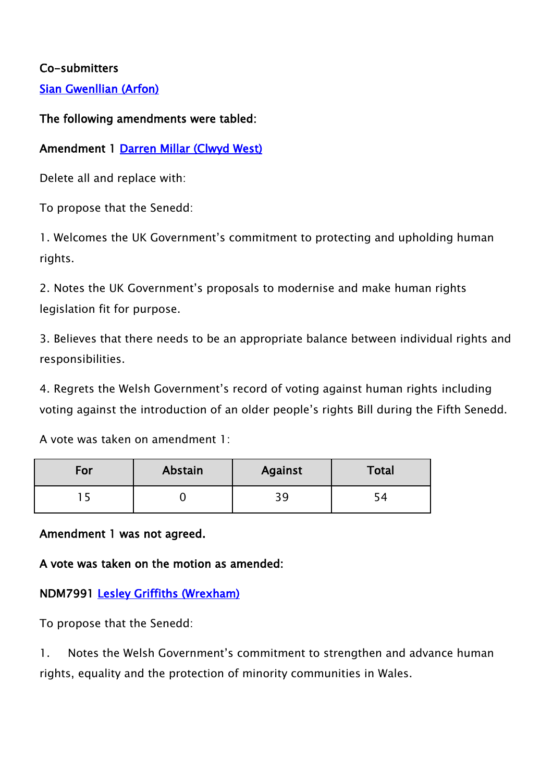#### Co-submitters

[Sian Gwenllian \(Arfon\)](https://business.senedd.wales/mgUserInfo.aspx?UID=4981)

#### The following amendments were tabled:

#### Amendment 1 [Darren Millar \(Clwyd West\)](https://senedd.wales/people/171)

Delete all and replace with:

To propose that the Senedd:

1. Welcomes the UK Government's commitment to protecting and upholding human rights.

2. Notes the UK Government's proposals to modernise and make human rights legislation fit for purpose.

3. Believes that there needs to be an appropriate balance between individual rights and responsibilities.

4. Regrets the Welsh Government's record of voting against human rights including voting against the introduction of an older people's rights Bill during the Fifth Senedd.

A vote was taken on amendment 1:

| For | Abstain | <b>Against</b> | Total |
|-----|---------|----------------|-------|
|     |         | 39             |       |

Amendment 1 was not agreed.

A vote was taken on the motion as amended:

#### NDM7991 [Lesley Griffiths \(Wrexham\)](https://business.senedd.wales/mgUserInfo.aspx?UID=154)

To propose that the Senedd:

1. Notes the Welsh Government's commitment to strengthen and advance human rights, equality and the protection of minority communities in Wales.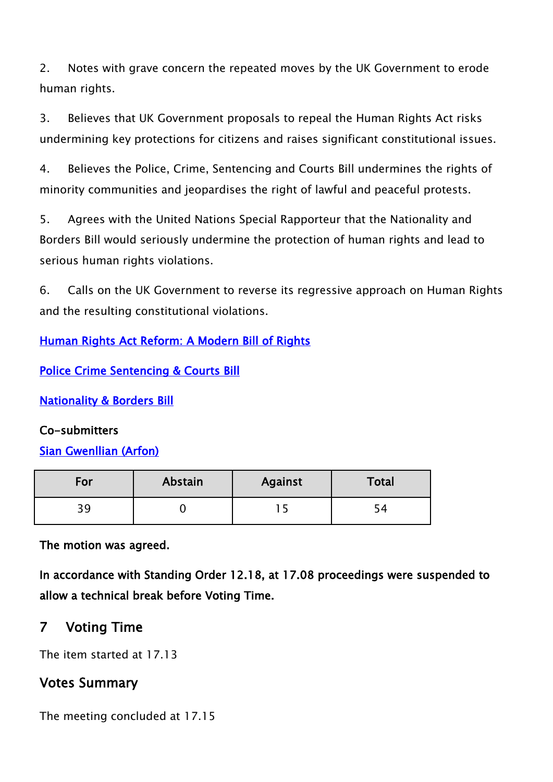2. Notes with grave concern the repeated moves by the UK Government to erode human rights.

3. Believes that UK Government proposals to repeal the Human Rights Act risks undermining key protections for citizens and raises significant constitutional issues.

4. Believes the Police, Crime, Sentencing and Courts Bill undermines the rights of minority communities and jeopardises the right of lawful and peaceful protests.

5. Agrees with the United Nations Special Rapporteur that the Nationality and Borders Bill would seriously undermine the protection of human rights and lead to serious human rights violations.

6. Calls on the UK Government to reverse its regressive approach on Human Rights and the resulting constitutional violations.

[Human Rights Act Reform: A Modern Bill of Rights](https://www.gov.uk/government/consultations/human-rights-act-reform-a-modern-bill-of-rights)

[Police Crime Sentencing & Courts Bill](https://eur01.safelinks.protection.outlook.com/?url=https%3A%2F%2Fbills.parliament.uk%2Fbills%2F2839&data=05%7C01%7CHelen.Carey%40gov.wales%7C6d793e3daaae4e6b1e8708da269897e2%7Ca2cc36c592804ae78887d06dab89216b%7C0%7C0%7C637864734060743074%7CUnknown%7CTWFpbGZsb3d8eyJWIjoiMC4wLjAwMDAiLCJQIjoiV2luMzIiLCJBTiI6Ik1haWwiLCJXVCI6Mn0%3D%7C3000%7C%7C%7C&sdata=knPCV3NsBsGkITGNFkrVcYnFP7HuDYYGITATC7PWov4%3D&reserved=0)

[Nationality & Borders Bill](https://eur01.safelinks.protection.outlook.com/?url=https%3A%2F%2Fbills.parliament.uk%2Fbills%2F3023&data=05%7C01%7CHelen.Carey%40gov.wales%7C6d793e3daaae4e6b1e8708da269897e2%7Ca2cc36c592804ae78887d06dab89216b%7C0%7C0%7C637864734060743074%7CUnknown%7CTWFpbGZsb3d8eyJWIjoiMC4wLjAwMDAiLCJQIjoiV2luMzIiLCJBTiI6Ik1haWwiLCJXVCI6Mn0%3D%7C3000%7C%7C%7C&sdata=2cSk4EzSpdR%2Fje5UYA46j1SmL1Vb%2BZ1ufLmQuGuQpMc%3D&reserved=0)

#### Co-submitters

#### [Sian Gwenllian \(Arfon\)](https://business.senedd.wales/mgUserInfo.aspx?UID=4981)

| For | Abstain | <b>Against</b> | Total |
|-----|---------|----------------|-------|
| 30  |         |                |       |

The motion was agreed.

In accordance with Standing Order 12.18, at 17.08 proceedings were suspended to allow a technical break before Voting Time.

### 7 Voting Time

The item started at 17.13

### Votes Summary

The meeting concluded at 17.15